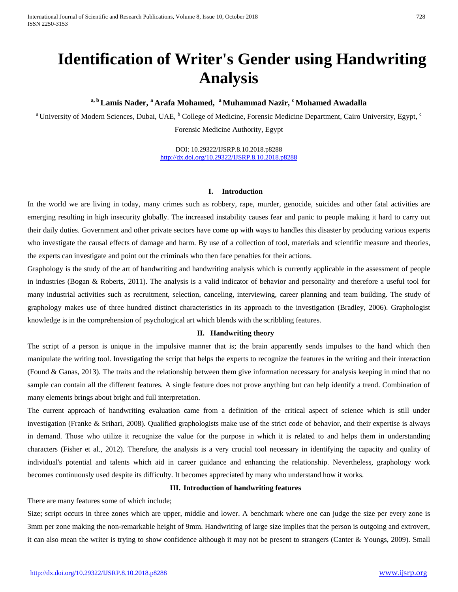International Journal of Scientific and Research Publications, Volume 8, Issue 10, October 2018 728 ISSN 2250-3153

# **Identification of Writer's Gender using Handwriting Analysis**

<sup>a, b</sup> Lamis Nader, <sup>a</sup> Arafa Mohamed, <sup>a</sup> Muhammad Nazir, <sup>c</sup> Mohamed Awadalla

<sup>a</sup> University of Modern Sciences, Dubai, UAE, <sup>b</sup> College of Medicine, Forensic Medicine Department, Cairo University, Egypt, <sup>c</sup> Forensic Medicine Authority, Egypt

> DOI: 10.29322/IJSRP.8.10.2018.p8288 <http://dx.doi.org/10.29322/IJSRP.8.10.2018.p8288>

#### **I. Introduction**

In the world we are living in today, many crimes such as robbery, rape, murder, genocide, suicides and other fatal activities are emerging resulting in high insecurity globally. The increased instability causes fear and panic to people making it hard to carry out their daily duties. Government and other private sectors have come up with ways to handles this disaster by producing various experts who investigate the causal effects of damage and harm. By use of a collection of tool, materials and scientific measure and theories, the experts can investigate and point out the criminals who then face penalties for their actions.

Graphology is the study of the art of handwriting and handwriting analysis which is currently applicable in the assessment of people in industries (Bogan & Roberts, 2011). The analysis is a valid indicator of behavior and personality and therefore a useful tool for many industrial activities such as recruitment, selection, canceling, interviewing, career planning and team building. The study of graphology makes use of three hundred distinct characteristics in its approach to the investigation (Bradley, 2006). Graphologist knowledge is in the comprehension of psychological art which blends with the scribbling features.

#### **II. Handwriting theory**

The script of a person is unique in the impulsive manner that is; the brain apparently sends impulses to the hand which then manipulate the writing tool. Investigating the script that helps the experts to recognize the features in the writing and their interaction (Found & Ganas, 2013). The traits and the relationship between them give information necessary for analysis keeping in mind that no sample can contain all the different features. A single feature does not prove anything but can help identify a trend. Combination of many elements brings about bright and full interpretation.

The current approach of handwriting evaluation came from a definition of the critical aspect of science which is still under investigation (Franke & Srihari, 2008). Qualified graphologists make use of the strict code of behavior, and their expertise is always in demand. Those who utilize it recognize the value for the purpose in which it is related to and helps them in understanding characters (Fisher et al., 2012). Therefore, the analysis is a very crucial tool necessary in identifying the capacity and quality of individual's potential and talents which aid in career guidance and enhancing the relationship. Nevertheless, graphology work becomes continuously used despite its difficulty. It becomes appreciated by many who understand how it works.

# **III. Introduction of handwriting features**

There are many features some of which include;

Size; script occurs in three zones which are upper, middle and lower. A benchmark where one can judge the size per every zone is 3mm per zone making the non-remarkable height of 9mm. Handwriting of large size implies that the person is outgoing and extrovert, it can also mean the writer is trying to show confidence although it may not be present to strangers (Canter & Youngs, 2009). Small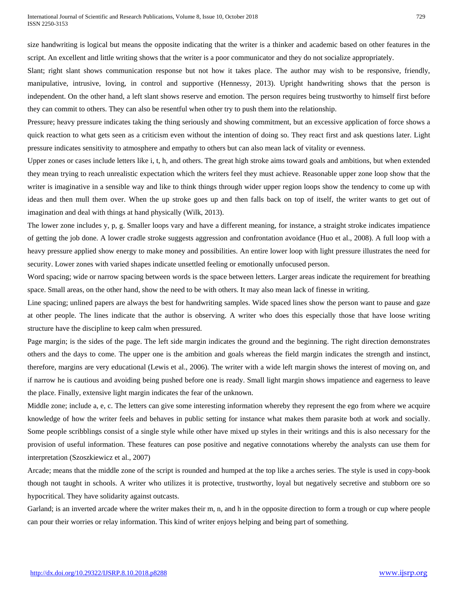size handwriting is logical but means the opposite indicating that the writer is a thinker and academic based on other features in the script. An excellent and little writing shows that the writer is a poor communicator and they do not socialize appropriately.

Slant; right slant shows communication response but not how it takes place. The author may wish to be responsive, friendly, manipulative, intrusive, loving, in control and supportive (Hennessy, 2013). Upright handwriting shows that the person is independent. On the other hand, a left slant shows reserve and emotion. The person requires being trustworthy to himself first before they can commit to others. They can also be resentful when other try to push them into the relationship.

Pressure; heavy pressure indicates taking the thing seriously and showing commitment, but an excessive application of force shows a quick reaction to what gets seen as a criticism even without the intention of doing so. They react first and ask questions later. Light pressure indicates sensitivity to atmosphere and empathy to others but can also mean lack of vitality or evenness.

Upper zones or cases include letters like i, t, h, and others. The great high stroke aims toward goals and ambitions, but when extended they mean trying to reach unrealistic expectation which the writers feel they must achieve. Reasonable upper zone loop show that the writer is imaginative in a sensible way and like to think things through wider upper region loops show the tendency to come up with ideas and then mull them over. When the up stroke goes up and then falls back on top of itself, the writer wants to get out of imagination and deal with things at hand physically (Wilk, 2013).

The lower zone includes y, p, g. Smaller loops vary and have a different meaning, for instance, a straight stroke indicates impatience of getting the job done. A lower cradle stroke suggests aggression and confrontation avoidance (Huo et al., 2008). A full loop with a heavy pressure applied show energy to make money and possibilities. An entire lower loop with light pressure illustrates the need for security. Lower zones with varied shapes indicate unsettled feeling or emotionally unfocused person.

Word spacing; wide or narrow spacing between words is the space between letters. Larger areas indicate the requirement for breathing space. Small areas, on the other hand, show the need to be with others. It may also mean lack of finesse in writing.

Line spacing; unlined papers are always the best for handwriting samples. Wide spaced lines show the person want to pause and gaze at other people. The lines indicate that the author is observing. A writer who does this especially those that have loose writing structure have the discipline to keep calm when pressured.

Page margin; is the sides of the page. The left side margin indicates the ground and the beginning. The right direction demonstrates others and the days to come. The upper one is the ambition and goals whereas the field margin indicates the strength and instinct, therefore, margins are very educational (Lewis et al., 2006). The writer with a wide left margin shows the interest of moving on, and if narrow he is cautious and avoiding being pushed before one is ready. Small light margin shows impatience and eagerness to leave the place. Finally, extensive light margin indicates the fear of the unknown.

Middle zone; include a, e, c. The letters can give some interesting information whereby they represent the ego from where we acquire knowledge of how the writer feels and behaves in public setting for instance what makes them parasite both at work and socially. Some people scribblings consist of a single style while other have mixed up styles in their writings and this is also necessary for the provision of useful information. These features can pose positive and negative connotations whereby the analysts can use them for interpretation (Szoszkiewicz et al., 2007)

Arcade; means that the middle zone of the script is rounded and humped at the top like a arches series. The style is used in copy-book though not taught in schools. A writer who utilizes it is protective, trustworthy, loyal but negatively secretive and stubborn ore so hypocritical. They have solidarity against outcasts.

Garland; is an inverted arcade where the writer makes their m, n, and h in the opposite direction to form a trough or cup where people can pour their worries or relay information. This kind of writer enjoys helping and being part of something.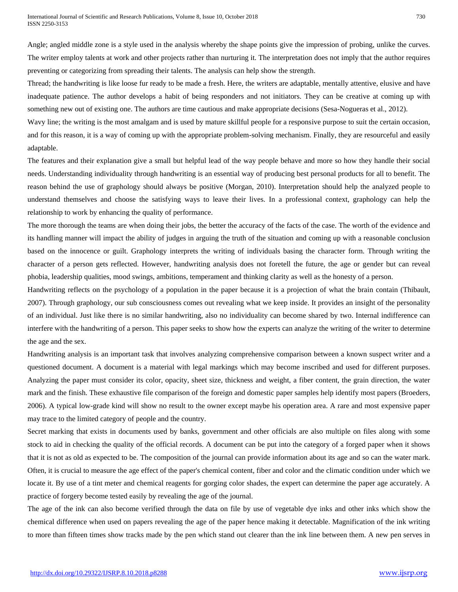Angle; angled middle zone is a style used in the analysis whereby the shape points give the impression of probing, unlike the curves. The writer employ talents at work and other projects rather than nurturing it. The interpretation does not imply that the author requires preventing or categorizing from spreading their talents. The analysis can help show the strength.

Thread; the handwriting is like loose fur ready to be made a fresh. Here, the writers are adaptable, mentally attentive, elusive and have inadequate patience. The author develops a habit of being responders and not initiators. They can be creative at coming up with something new out of existing one. The authors are time cautious and make appropriate decisions (Sesa-Nogueras et al., 2012).

Wavy line; the writing is the most amalgam and is used by mature skillful people for a responsive purpose to suit the certain occasion, and for this reason, it is a way of coming up with the appropriate problem-solving mechanism. Finally, they are resourceful and easily adaptable.

The features and their explanation give a small but helpful lead of the way people behave and more so how they handle their social needs. Understanding individuality through handwriting is an essential way of producing best personal products for all to benefit. The reason behind the use of graphology should always be positive (Morgan, 2010). Interpretation should help the analyzed people to understand themselves and choose the satisfying ways to leave their lives. In a professional context, graphology can help the relationship to work by enhancing the quality of performance.

The more thorough the teams are when doing their jobs, the better the accuracy of the facts of the case. The worth of the evidence and its handling manner will impact the ability of judges in arguing the truth of the situation and coming up with a reasonable conclusion based on the innocence or guilt. Graphology interprets the writing of individuals basing the character form. Through writing the character of a person gets reflected. However, handwriting analysis does not foretell the future, the age or gender but can reveal phobia, leadership qualities, mood swings, ambitions, temperament and thinking clarity as well as the honesty of a person.

Handwriting reflects on the psychology of a population in the paper because it is a projection of what the brain contain (Thibault, 2007). Through graphology, our sub consciousness comes out revealing what we keep inside. It provides an insight of the personality of an individual. Just like there is no similar handwriting, also no individuality can become shared by two. Internal indifference can interfere with the handwriting of a person. This paper seeks to show how the experts can analyze the writing of the writer to determine the age and the sex.

Handwriting analysis is an important task that involves analyzing comprehensive comparison between a known suspect writer and a questioned document. A document is a material with legal markings which may become inscribed and used for different purposes. Analyzing the paper must consider its color, opacity, sheet size, thickness and weight, a fiber content, the grain direction, the water mark and the finish. These exhaustive file comparison of the foreign and domestic paper samples help identify most papers (Broeders, 2006). A typical low-grade kind will show no result to the owner except maybe his operation area. A rare and most expensive paper may trace to the limited category of people and the country.

Secret marking that exists in documents used by banks, government and other officials are also multiple on files along with some stock to aid in checking the quality of the official records. A document can be put into the category of a forged paper when it shows that it is not as old as expected to be. The composition of the journal can provide information about its age and so can the water mark. Often, it is crucial to measure the age effect of the paper's chemical content, fiber and color and the climatic condition under which we locate it. By use of a tint meter and chemical reagents for gorging color shades, the expert can determine the paper age accurately. A practice of forgery become tested easily by revealing the age of the journal.

The age of the ink can also become verified through the data on file by use of vegetable dye inks and other inks which show the chemical difference when used on papers revealing the age of the paper hence making it detectable. Magnification of the ink writing to more than fifteen times show tracks made by the pen which stand out clearer than the ink line between them. A new pen serves in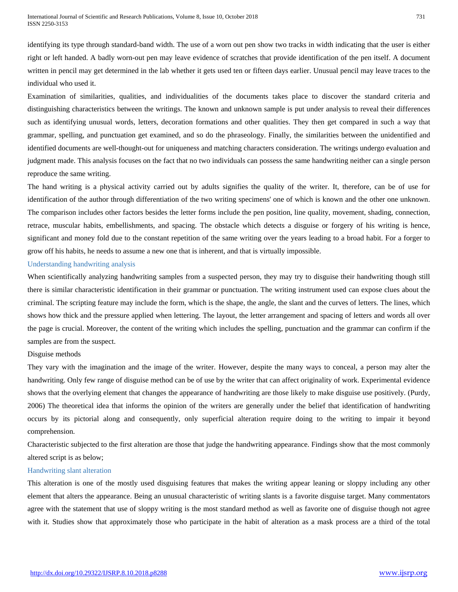identifying its type through standard-band width. The use of a worn out pen show two tracks in width indicating that the user is either right or left handed. A badly worn-out pen may leave evidence of scratches that provide identification of the pen itself. A document written in pencil may get determined in the lab whether it gets used ten or fifteen days earlier. Unusual pencil may leave traces to the individual who used it.

Examination of similarities, qualities, and individualities of the documents takes place to discover the standard criteria and distinguishing characteristics between the writings. The known and unknown sample is put under analysis to reveal their differences such as identifying unusual words, letters, decoration formations and other qualities. They then get compared in such a way that grammar, spelling, and punctuation get examined, and so do the phraseology. Finally, the similarities between the unidentified and identified documents are well-thought-out for uniqueness and matching characters consideration. The writings undergo evaluation and judgment made. This analysis focuses on the fact that no two individuals can possess the same handwriting neither can a single person reproduce the same writing.

The hand writing is a physical activity carried out by adults signifies the quality of the writer. It, therefore, can be of use for identification of the author through differentiation of the two writing specimens' one of which is known and the other one unknown. The comparison includes other factors besides the letter forms include the pen position, line quality, movement, shading, connection, retrace, muscular habits, embellishments, and spacing. The obstacle which detects a disguise or forgery of his writing is hence, significant and money fold due to the constant repetition of the same writing over the years leading to a broad habit. For a forger to grow off his habits, he needs to assume a new one that is inherent, and that is virtually impossible.

# Understanding handwriting analysis

When scientifically analyzing handwriting samples from a suspected person, they may try to disguise their handwriting though still there is similar characteristic identification in their grammar or punctuation. The writing instrument used can expose clues about the criminal. The scripting feature may include the form, which is the shape, the angle, the slant and the curves of letters. The lines, which shows how thick and the pressure applied when lettering. The layout, the letter arrangement and spacing of letters and words all over the page is crucial. Moreover, the content of the writing which includes the spelling, punctuation and the grammar can confirm if the samples are from the suspect.

# Disguise methods

They vary with the imagination and the image of the writer. However, despite the many ways to conceal, a person may alter the handwriting. Only few range of disguise method can be of use by the writer that can affect originality of work. Experimental evidence shows that the overlying element that changes the appearance of handwriting are those likely to make disguise use positively. (Purdy, 2006) The theoretical idea that informs the opinion of the writers are generally under the belief that identification of handwriting occurs by its pictorial along and consequently, only superficial alteration require doing to the writing to impair it beyond comprehension.

Characteristic subjected to the first alteration are those that judge the handwriting appearance. Findings show that the most commonly altered script is as below;

# Handwriting slant alteration

This alteration is one of the mostly used disguising features that makes the writing appear leaning or sloppy including any other element that alters the appearance. Being an unusual characteristic of writing slants is a favorite disguise target. Many commentators agree with the statement that use of sloppy writing is the most standard method as well as favorite one of disguise though not agree with it. Studies show that approximately those who participate in the habit of alteration as a mask process are a third of the total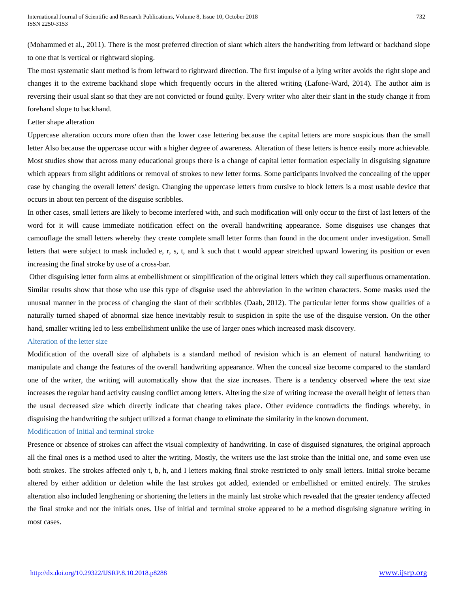(Mohammed et al., 2011). There is the most preferred direction of slant which alters the handwriting from leftward or backhand slope to one that is vertical or rightward sloping.

The most systematic slant method is from leftward to rightward direction. The first impulse of a lying writer avoids the right slope and changes it to the extreme backhand slope which frequently occurs in the altered writing (Lafone-Ward, 2014). The author aim is reversing their usual slant so that they are not convicted or found guilty. Every writer who alter their slant in the study change it from forehand slope to backhand.

# Letter shape alteration

Uppercase alteration occurs more often than the lower case lettering because the capital letters are more suspicious than the small letter Also because the uppercase occur with a higher degree of awareness. Alteration of these letters is hence easily more achievable. Most studies show that across many educational groups there is a change of capital letter formation especially in disguising signature which appears from slight additions or removal of strokes to new letter forms. Some participants involved the concealing of the upper case by changing the overall letters' design. Changing the uppercase letters from cursive to block letters is a most usable device that occurs in about ten percent of the disguise scribbles.

In other cases, small letters are likely to become interfered with, and such modification will only occur to the first of last letters of the word for it will cause immediate notification effect on the overall handwriting appearance. Some disguises use changes that camouflage the small letters whereby they create complete small letter forms than found in the document under investigation. Small letters that were subject to mask included e, r, s, t, and k such that t would appear stretched upward lowering its position or even increasing the final stroke by use of a cross-bar.

Other disguising letter form aims at embellishment or simplification of the original letters which they call superfluous ornamentation. Similar results show that those who use this type of disguise used the abbreviation in the written characters. Some masks used the unusual manner in the process of changing the slant of their scribbles (Daab, 2012). The particular letter forms show qualities of a naturally turned shaped of abnormal size hence inevitably result to suspicion in spite the use of the disguise version. On the other hand, smaller writing led to less embellishment unlike the use of larger ones which increased mask discovery.

#### Alteration of the letter size

Modification of the overall size of alphabets is a standard method of revision which is an element of natural handwriting to manipulate and change the features of the overall handwriting appearance. When the conceal size become compared to the standard one of the writer, the writing will automatically show that the size increases. There is a tendency observed where the text size increases the regular hand activity causing conflict among letters. Altering the size of writing increase the overall height of letters than the usual decreased size which directly indicate that cheating takes place. Other evidence contradicts the findings whereby, in disguising the handwriting the subject utilized a format change to eliminate the similarity in the known document.

# Modification of Initial and terminal stroke

Presence or absence of strokes can affect the visual complexity of handwriting. In case of disguised signatures, the original approach all the final ones is a method used to alter the writing. Mostly, the writers use the last stroke than the initial one, and some even use both strokes. The strokes affected only t, b, h, and I letters making final stroke restricted to only small letters. Initial stroke became altered by either addition or deletion while the last strokes got added, extended or embellished or emitted entirely. The strokes alteration also included lengthening or shortening the letters in the mainly last stroke which revealed that the greater tendency affected the final stroke and not the initials ones. Use of initial and terminal stroke appeared to be a method disguising signature writing in most cases.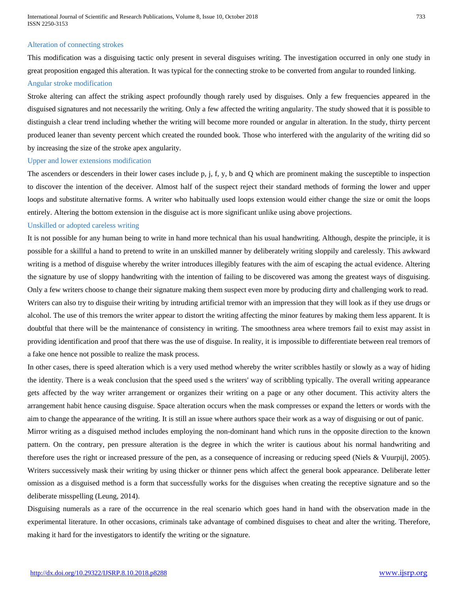#### Alteration of connecting strokes

This modification was a disguising tactic only present in several disguises writing. The investigation occurred in only one study in great proposition engaged this alteration. It was typical for the connecting stroke to be converted from angular to rounded linking. Angular stroke modification

Stroke altering can affect the striking aspect profoundly though rarely used by disguises. Only a few frequencies appeared in the disguised signatures and not necessarily the writing. Only a few affected the writing angularity. The study showed that it is possible to distinguish a clear trend including whether the writing will become more rounded or angular in alteration. In the study, thirty percent produced leaner than seventy percent which created the rounded book. Those who interfered with the angularity of the writing did so by increasing the size of the stroke apex angularity.

#### Upper and lower extensions modification

The ascenders or descenders in their lower cases include p, j, f, y, b and Q which are prominent making the susceptible to inspection to discover the intention of the deceiver. Almost half of the suspect reject their standard methods of forming the lower and upper loops and substitute alternative forms. A writer who habitually used loops extension would either change the size or omit the loops entirely. Altering the bottom extension in the disguise act is more significant unlike using above projections.

# Unskilled or adopted careless writing

It is not possible for any human being to write in hand more technical than his usual handwriting. Although, despite the principle, it is possible for a skillful a hand to pretend to write in an unskilled manner by deliberately writing sloppily and carelessly. This awkward writing is a method of disguise whereby the writer introduces illegibly features with the aim of escaping the actual evidence. Altering the signature by use of sloppy handwriting with the intention of failing to be discovered was among the greatest ways of disguising. Only a few writers choose to change their signature making them suspect even more by producing dirty and challenging work to read. Writers can also try to disguise their writing by intruding artificial tremor with an impression that they will look as if they use drugs or alcohol. The use of this tremors the writer appear to distort the writing affecting the minor features by making them less apparent. It is doubtful that there will be the maintenance of consistency in writing. The smoothness area where tremors fail to exist may assist in providing identification and proof that there was the use of disguise. In reality, it is impossible to differentiate between real tremors of a fake one hence not possible to realize the mask process.

In other cases, there is speed alteration which is a very used method whereby the writer scribbles hastily or slowly as a way of hiding the identity. There is a weak conclusion that the speed used s the writers' way of scribbling typically. The overall writing appearance gets affected by the way writer arrangement or organizes their writing on a page or any other document. This activity alters the arrangement habit hence causing disguise. Space alteration occurs when the mask compresses or expand the letters or words with the aim to change the appearance of the writing. It is still an issue where authors space their work as a way of disguising or out of panic.

Mirror writing as a disguised method includes employing the non-dominant hand which runs in the opposite direction to the known pattern. On the contrary, pen pressure alteration is the degree in which the writer is cautious about his normal handwriting and therefore uses the right or increased pressure of the pen, as a consequence of increasing or reducing speed (Niels & Vuurpijl, 2005). Writers successively mask their writing by using thicker or thinner pens which affect the general book appearance. Deliberate letter omission as a disguised method is a form that successfully works for the disguises when creating the receptive signature and so the deliberate misspelling (Leung, 2014).

Disguising numerals as a rare of the occurrence in the real scenario which goes hand in hand with the observation made in the experimental literature. In other occasions, criminals take advantage of combined disguises to cheat and alter the writing. Therefore, making it hard for the investigators to identify the writing or the signature.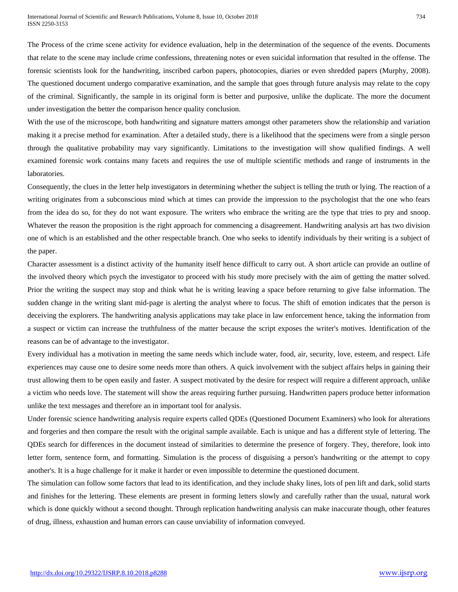The Process of the crime scene activity for evidence evaluation, help in the determination of the sequence of the events. Documents that relate to the scene may include crime confessions, threatening notes or even suicidal information that resulted in the offense. The forensic scientists look for the handwriting, inscribed carbon papers, photocopies, diaries or even shredded papers (Murphy, 2008). The questioned document undergo comparative examination, and the sample that goes through future analysis may relate to the copy of the criminal. Significantly, the sample in its original form is better and purposive, unlike the duplicate. The more the document under investigation the better the comparison hence quality conclusion.

With the use of the microscope, both handwriting and signature matters amongst other parameters show the relationship and variation making it a precise method for examination. After a detailed study, there is a likelihood that the specimens were from a single person through the qualitative probability may vary significantly. Limitations to the investigation will show qualified findings. A well examined forensic work contains many facets and requires the use of multiple scientific methods and range of instruments in the laboratories.

Consequently, the clues in the letter help investigators in determining whether the subject is telling the truth or lying. The reaction of a writing originates from a subconscious mind which at times can provide the impression to the psychologist that the one who fears from the idea do so, for they do not want exposure. The writers who embrace the writing are the type that tries to pry and snoop. Whatever the reason the proposition is the right approach for commencing a disagreement. Handwriting analysis art has two division one of which is an established and the other respectable branch. One who seeks to identify individuals by their writing is a subject of the paper.

Character assessment is a distinct activity of the humanity itself hence difficult to carry out. A short article can provide an outline of the involved theory which psych the investigator to proceed with his study more precisely with the aim of getting the matter solved. Prior the writing the suspect may stop and think what he is writing leaving a space before returning to give false information. The sudden change in the writing slant mid-page is alerting the analyst where to focus. The shift of emotion indicates that the person is deceiving the explorers. The handwriting analysis applications may take place in law enforcement hence, taking the information from a suspect or victim can increase the truthfulness of the matter because the script exposes the writer's motives. Identification of the reasons can be of advantage to the investigator.

Every individual has a motivation in meeting the same needs which include water, food, air, security, love, esteem, and respect. Life experiences may cause one to desire some needs more than others. A quick involvement with the subject affairs helps in gaining their trust allowing them to be open easily and faster. A suspect motivated by the desire for respect will require a different approach, unlike a victim who needs love. The statement will show the areas requiring further pursuing. Handwritten papers produce better information unlike the text messages and therefore an in important tool for analysis.

Under forensic science handwriting analysis require experts called QDEs (Questioned Document Examiners) who look for alterations and forgeries and then compare the result with the original sample available. Each is unique and has a different style of lettering. The QDEs search for differences in the document instead of similarities to determine the presence of forgery. They, therefore, look into letter form, sentence form, and formatting. Simulation is the process of disguising a person's handwriting or the attempt to copy another's. It is a huge challenge for it make it harder or even impossible to determine the questioned document.

The simulation can follow some factors that lead to its identification, and they include shaky lines, lots of pen lift and dark, solid starts and finishes for the lettering. These elements are present in forming letters slowly and carefully rather than the usual, natural work which is done quickly without a second thought. Through replication handwriting analysis can make inaccurate though, other features of drug, illness, exhaustion and human errors can cause unviability of information conveyed.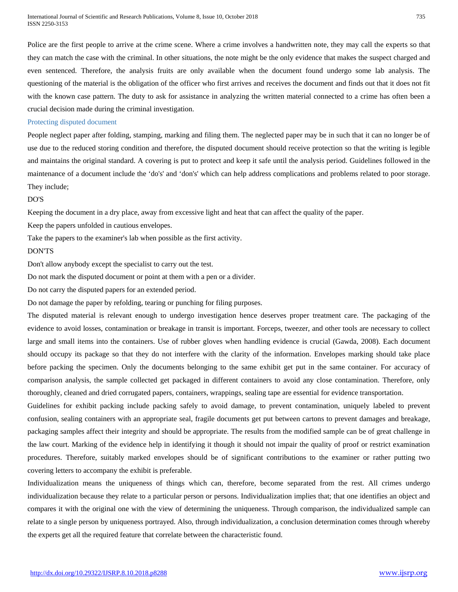Police are the first people to arrive at the crime scene. Where a crime involves a handwritten note, they may call the experts so that they can match the case with the criminal. In other situations, the note might be the only evidence that makes the suspect charged and even sentenced. Therefore, the analysis fruits are only available when the document found undergo some lab analysis. The questioning of the material is the obligation of the officer who first arrives and receives the document and finds out that it does not fit with the known case pattern. The duty to ask for assistance in analyzing the written material connected to a crime has often been a crucial decision made during the criminal investigation.

#### Protecting disputed document

People neglect paper after folding, stamping, marking and filing them. The neglected paper may be in such that it can no longer be of use due to the reduced storing condition and therefore, the disputed document should receive protection so that the writing is legible and maintains the original standard. A covering is put to protect and keep it safe until the analysis period. Guidelines followed in the maintenance of a document include the 'do's' and 'don's' which can help address complications and problems related to poor storage. They include;

#### DO'S

Keeping the document in a dry place, away from excessive light and heat that can affect the quality of the paper.

Keep the papers unfolded in cautious envelopes.

Take the papers to the examiner's lab when possible as the first activity.

# DON'TS

Don't allow anybody except the specialist to carry out the test.

Do not mark the disputed document or point at them with a pen or a divider.

Do not carry the disputed papers for an extended period.

Do not damage the paper by refolding, tearing or punching for filing purposes.

The disputed material is relevant enough to undergo investigation hence deserves proper treatment care. The packaging of the evidence to avoid losses, contamination or breakage in transit is important. Forceps, tweezer, and other tools are necessary to collect large and small items into the containers. Use of rubber gloves when handling evidence is crucial (Gawda, 2008). Each document should occupy its package so that they do not interfere with the clarity of the information. Envelopes marking should take place before packing the specimen. Only the documents belonging to the same exhibit get put in the same container. For accuracy of comparison analysis, the sample collected get packaged in different containers to avoid any close contamination. Therefore, only thoroughly, cleaned and dried corrugated papers, containers, wrappings, sealing tape are essential for evidence transportation.

Guidelines for exhibit packing include packing safely to avoid damage, to prevent contamination, uniquely labeled to prevent confusion, sealing containers with an appropriate seal, fragile documents get put between cartons to prevent damages and breakage, packaging samples affect their integrity and should be appropriate. The results from the modified sample can be of great challenge in the law court. Marking of the evidence help in identifying it though it should not impair the quality of proof or restrict examination procedures. Therefore, suitably marked envelopes should be of significant contributions to the examiner or rather putting two covering letters to accompany the exhibit is preferable.

Individualization means the uniqueness of things which can, therefore, become separated from the rest. All crimes undergo individualization because they relate to a particular person or persons. Individualization implies that; that one identifies an object and compares it with the original one with the view of determining the uniqueness. Through comparison, the individualized sample can relate to a single person by uniqueness portrayed. Also, through individualization, a conclusion determination comes through whereby the experts get all the required feature that correlate between the characteristic found.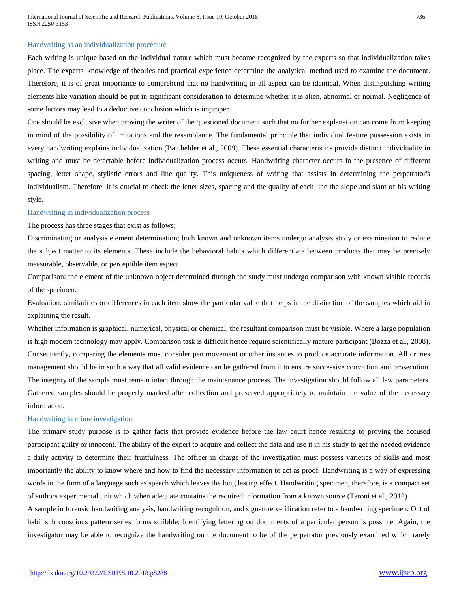International Journal of Scientific and Research Publications, Volume 8, Issue 10, October 2018 736 ISSN 2250-3153

#### Handwriting as an individualization procedure

Each writing is unique based on the individual nature which must become recognized by the experts so that individualization takes place. The experts' knowledge of theories and practical experience determine the analytical method used to examine the document. Therefore, it is of great importance to comprehend that no handwriting in all aspect can be identical. When distinguishing writing elements like variation should be put in significant consideration to determine whether it is alien, abnormal or normal. Negligence of some factors may lead to a deductive conclusion which is improper.

One should be exclusive when proving the writer of the questioned document such that no further explanation can come from keeping in mind of the possibility of imitations and the resemblance. The fundamental principle that individual feature possession exists in every handwriting explains individualization (Batchelder et al., 2009). These essential characteristics provide distinct individuality in writing and must be detectable before individualization process occurs. Handwriting character occurs in the presence of different spacing, letter shape, stylistic errors and line quality. This uniqueness of writing that assists in determining the perpetrator's individualism. Therefore, it is crucial to check the letter sizes, spacing and the quality of each line the slope and slant of his writing style.

#### Handwriting in individualization process

The process has three stages that exist as follows;

Discriminating or analysis element determination; both known and unknown items undergo analysis study or examination to reduce the subject matter to its elements. These include the behavioral habits which differentiate between products that may be precisely measurable, observable, or perceptible item aspect.

Comparison: the element of the unknown object determined through the study must undergo comparison with known visible records of the specimen.

Evaluation: similarities or differences in each item show the particular value that helps in the distinction of the samples which aid in explaining the result.

Whether information is graphical, numerical, physical or chemical, the resultant comparison must be visible. Where a large population is high modern technology may apply. Comparison task is difficult hence require scientifically mature participant (Bozza et al., 2008). Consequently, comparing the elements must consider pen movement or other instances to produce accurate information. All crimes management should be in such a way that all valid evidence can be gathered from it to ensure successive conviction and prosecution. The integrity of the sample must remain intact through the maintenance process. The investigation should follow all law parameters. Gathered samples should be properly marked after collection and preserved appropriately to maintain the value of the necessary information.

# Handwriting in crime investigation

The primary study purpose is to gather facts that provide evidence before the law court hence resulting to proving the accused participant guilty or innocent. The ability of the expert to acquire and collect the data and use it in his study to get the needed evidence a daily activity to determine their fruitfulness. The officer in charge of the investigation must possess varieties of skills and most importantly the ability to know where and how to find the necessary information to act as proof. Handwriting is a way of expressing words in the form of a language such as speech which leaves the long lasting effect. Handwriting specimen, therefore, is a compact set of authors experimental unit which when adequate contains the required information from a known source (Taroni et al., 2012).

A sample in forensic handwriting analysis, handwriting recognition, and signature verification refer to a handwriting specimen. Out of habit sub conscious pattern series forms scribble. Identifying lettering on documents of a particular person is possible. Again, the investigator may be able to recognize the handwriting on the document to be of the perpetrator previously examined which rarely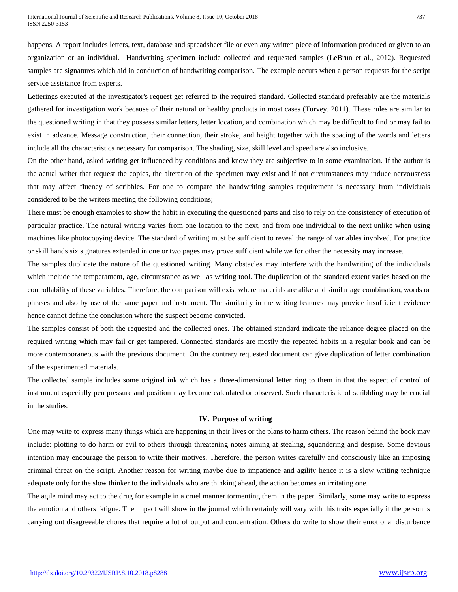happens. A report includes letters, text, database and spreadsheet file or even any written piece of information produced or given to an organization or an individual. Handwriting specimen include collected and requested samples (LeBrun et al., 2012). Requested samples are signatures which aid in conduction of handwriting comparison. The example occurs when a person requests for the script service assistance from experts.

Letterings executed at the investigator's request get referred to the required standard. Collected standard preferably are the materials gathered for investigation work because of their natural or healthy products in most cases (Turvey, 2011). These rules are similar to the questioned writing in that they possess similar letters, letter location, and combination which may be difficult to find or may fail to exist in advance. Message construction, their connection, their stroke, and height together with the spacing of the words and letters include all the characteristics necessary for comparison. The shading, size, skill level and speed are also inclusive.

On the other hand, asked writing get influenced by conditions and know they are subjective to in some examination. If the author is the actual writer that request the copies, the alteration of the specimen may exist and if not circumstances may induce nervousness that may affect fluency of scribbles. For one to compare the handwriting samples requirement is necessary from individuals considered to be the writers meeting the following conditions;

There must be enough examples to show the habit in executing the questioned parts and also to rely on the consistency of execution of particular practice. The natural writing varies from one location to the next, and from one individual to the next unlike when using machines like photocopying device. The standard of writing must be sufficient to reveal the range of variables involved. For practice or skill hands six signatures extended in one or two pages may prove sufficient while we for other the necessity may increase.

The samples duplicate the nature of the questioned writing. Many obstacles may interfere with the handwriting of the individuals which include the temperament, age, circumstance as well as writing tool. The duplication of the standard extent varies based on the controllability of these variables. Therefore, the comparison will exist where materials are alike and similar age combination, words or phrases and also by use of the same paper and instrument. The similarity in the writing features may provide insufficient evidence hence cannot define the conclusion where the suspect become convicted.

The samples consist of both the requested and the collected ones. The obtained standard indicate the reliance degree placed on the required writing which may fail or get tampered. Connected standards are mostly the repeated habits in a regular book and can be more contemporaneous with the previous document. On the contrary requested document can give duplication of letter combination of the experimented materials.

The collected sample includes some original ink which has a three-dimensional letter ring to them in that the aspect of control of instrument especially pen pressure and position may become calculated or observed. Such characteristic of scribbling may be crucial in the studies.

# **IV. Purpose of writing**

One may write to express many things which are happening in their lives or the plans to harm others. The reason behind the book may include: plotting to do harm or evil to others through threatening notes aiming at stealing, squandering and despise. Some devious intention may encourage the person to write their motives. Therefore, the person writes carefully and consciously like an imposing criminal threat on the script. Another reason for writing maybe due to impatience and agility hence it is a slow writing technique adequate only for the slow thinker to the individuals who are thinking ahead, the action becomes an irritating one.

The agile mind may act to the drug for example in a cruel manner tormenting them in the paper. Similarly, some may write to express the emotion and others fatigue. The impact will show in the journal which certainly will vary with this traits especially if the person is carrying out disagreeable chores that require a lot of output and concentration. Others do write to show their emotional disturbance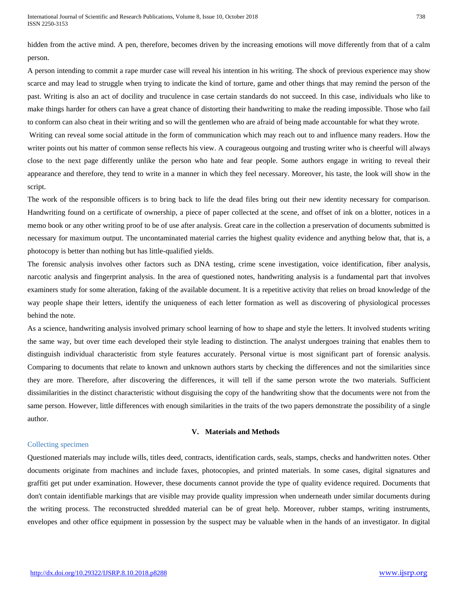hidden from the active mind. A pen, therefore, becomes driven by the increasing emotions will move differently from that of a calm person.

A person intending to commit a rape murder case will reveal his intention in his writing. The shock of previous experience may show scarce and may lead to struggle when trying to indicate the kind of torture, game and other things that may remind the person of the past. Writing is also an act of docility and truculence in case certain standards do not succeed. In this case, individuals who like to make things harder for others can have a great chance of distorting their handwriting to make the reading impossible. Those who fail to conform can also cheat in their writing and so will the gentlemen who are afraid of being made accountable for what they wrote.

Writing can reveal some social attitude in the form of communication which may reach out to and influence many readers. How the writer points out his matter of common sense reflects his view. A courageous outgoing and trusting writer who is cheerful will always close to the next page differently unlike the person who hate and fear people. Some authors engage in writing to reveal their appearance and therefore, they tend to write in a manner in which they feel necessary. Moreover, his taste, the look will show in the script.

The work of the responsible officers is to bring back to life the dead files bring out their new identity necessary for comparison. Handwriting found on a certificate of ownership, a piece of paper collected at the scene, and offset of ink on a blotter, notices in a memo book or any other writing proof to be of use after analysis. Great care in the collection a preservation of documents submitted is necessary for maximum output. The uncontaminated material carries the highest quality evidence and anything below that, that is, a photocopy is better than nothing but has little-qualified yields.

The forensic analysis involves other factors such as DNA testing, crime scene investigation, voice identification, fiber analysis, narcotic analysis and fingerprint analysis. In the area of questioned notes, handwriting analysis is a fundamental part that involves examiners study for some alteration, faking of the available document. It is a repetitive activity that relies on broad knowledge of the way people shape their letters, identify the uniqueness of each letter formation as well as discovering of physiological processes behind the note.

As a science, handwriting analysis involved primary school learning of how to shape and style the letters. It involved students writing the same way, but over time each developed their style leading to distinction. The analyst undergoes training that enables them to distinguish individual characteristic from style features accurately. Personal virtue is most significant part of forensic analysis. Comparing to documents that relate to known and unknown authors starts by checking the differences and not the similarities since they are more. Therefore, after discovering the differences, it will tell if the same person wrote the two materials. Sufficient dissimilarities in the distinct characteristic without disguising the copy of the handwriting show that the documents were not from the same person. However, little differences with enough similarities in the traits of the two papers demonstrate the possibility of a single author.

# **V. Materials and Methods**

# Collecting specimen

Questioned materials may include wills, titles deed, contracts, identification cards, seals, stamps, checks and handwritten notes. Other documents originate from machines and include faxes, photocopies, and printed materials. In some cases, digital signatures and graffiti get put under examination. However, these documents cannot provide the type of quality evidence required. Documents that don't contain identifiable markings that are visible may provide quality impression when underneath under similar documents during the writing process. The reconstructed shredded material can be of great help. Moreover, rubber stamps, writing instruments, envelopes and other office equipment in possession by the suspect may be valuable when in the hands of an investigator. In digital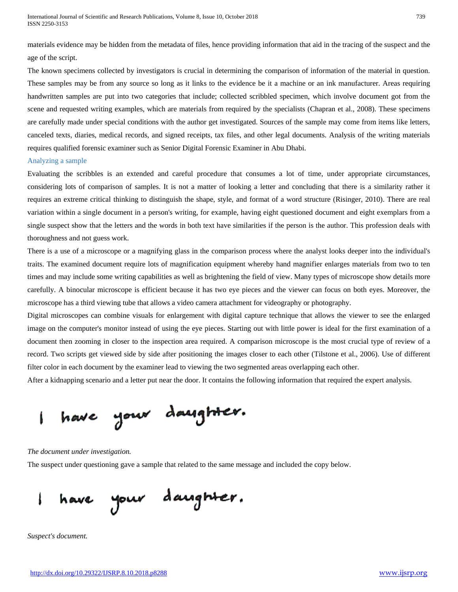materials evidence may be hidden from the metadata of files, hence providing information that aid in the tracing of the suspect and the age of the script.

The known specimens collected by investigators is crucial in determining the comparison of information of the material in question. These samples may be from any source so long as it links to the evidence be it a machine or an ink manufacturer. Areas requiring handwritten samples are put into two categories that include; collected scribbled specimen, which involve document got from the scene and requested writing examples, which are materials from required by the specialists (Chapran et al., 2008). These specimens are carefully made under special conditions with the author get investigated. Sources of the sample may come from items like letters, canceled texts, diaries, medical records, and signed receipts, tax files, and other legal documents. Analysis of the writing materials requires qualified forensic examiner such as Senior Digital Forensic Examiner in Abu Dhabi.

#### Analyzing a sample

Evaluating the scribbles is an extended and careful procedure that consumes a lot of time, under appropriate circumstances, considering lots of comparison of samples. It is not a matter of looking a letter and concluding that there is a similarity rather it requires an extreme critical thinking to distinguish the shape, style, and format of a word structure (Risinger, 2010). There are real variation within a single document in a person's writing, for example, having eight questioned document and eight exemplars from a single suspect show that the letters and the words in both text have similarities if the person is the author. This profession deals with thoroughness and not guess work.

There is a use of a microscope or a magnifying glass in the comparison process where the analyst looks deeper into the individual's traits. The examined document require lots of magnification equipment whereby hand magnifier enlarges materials from two to ten times and may include some writing capabilities as well as brightening the field of view. Many types of microscope show details more carefully. A binocular microscope is efficient because it has two eye pieces and the viewer can focus on both eyes. Moreover, the microscope has a third viewing tube that allows a video camera attachment for videography or photography.

Digital microscopes can combine visuals for enlargement with digital capture technique that allows the viewer to see the enlarged image on the computer's monitor instead of using the eye pieces. Starting out with little power is ideal for the first examination of a document then zooming in closer to the inspection area required. A comparison microscope is the most crucial type of review of a record. Two scripts get viewed side by side after positioning the images closer to each other (Tilstone et al., 2006). Use of different filter color in each document by the examiner lead to viewing the two segmented areas overlapping each other.

After a kidnapping scenario and a letter put near the door. It contains the following information that required the expert analysis.

have your daughter.

*The document under investigation.*

The suspect under questioning gave a sample that related to the same message and included the copy below.

have your daughter.

*Suspect's document.*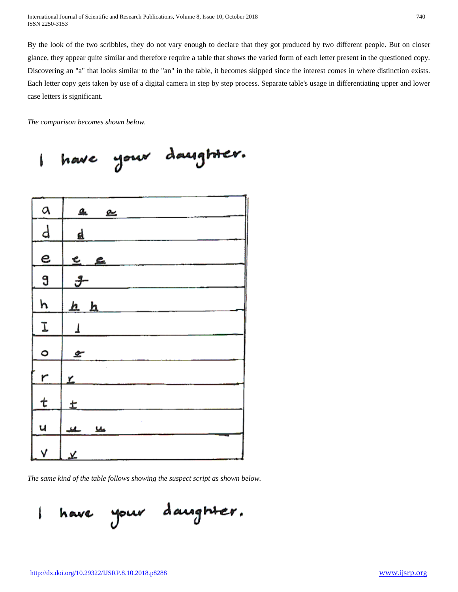By the look of the two scribbles, they do not vary enough to declare that they got produced by two different people. But on closer glance, they appear quite similar and therefore require a table that shows the varied form of each letter present in the questioned copy. Discovering an "a" that looks similar to the "an" in the table, it becomes skipped since the interest comes in where distinction exists. Each letter copy gets taken by use of a digital camera in step by step process. Separate table's usage in differentiating upper and lower case letters is significant.

*The comparison becomes shown below.*

have your daughter. Í

| a              | ۹.<br>உ              |
|----------------|----------------------|
| d              | ₫                    |
| $\overline{e}$ | e<br>£.              |
| $\overline{a}$ | $\frac{g}{\sqrt{2}}$ |
| h              | <u>h h</u>           |
| I              | 1                    |
| 0              | مع                   |
| $\overline{r}$ | <u>۳</u>             |
| t              | ±                    |
| ų              | عاط<br>ے             |
| V              | <u>يد</u>            |

*The same kind of the table follows showing the suspect script as shown below.*

have your daughter. I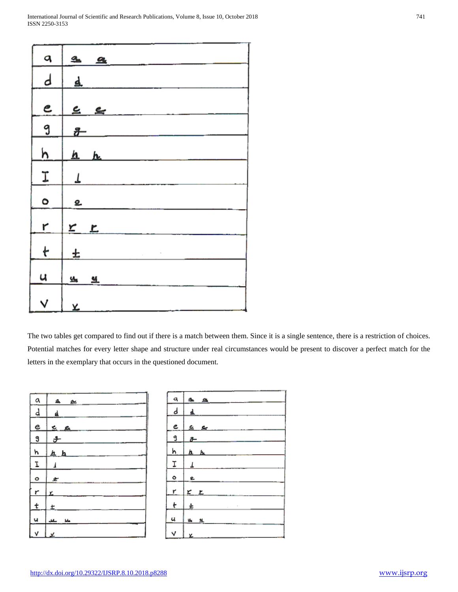| q             | ₫.            | $\underline{\mathbf{a}}$ |
|---------------|---------------|--------------------------|
| d             | ₫.            |                          |
|               |               |                          |
| $\epsilon$    |               | 2 <sub>2</sub>           |
| 9             | $\frac{g}{f}$ |                          |
| <u>h</u>      |               | $h$ $h$                  |
|               |               |                          |
| $\mathbf{I}$  | T             |                          |
| $\bullet$     | 2             |                          |
| r             |               |                          |
|               | $r$           |                          |
| $\ddot{\tau}$ | 土             |                          |
| u             | 앀             | $\underline{\mathbf{M}}$ |
|               |               |                          |
| $\checkmark$  | X,            |                          |

The two tables get compared to find out if there is a match between them. Since it is a single sentence, there is a restriction of choices. Potential matches for every letter shape and structure under real circumstances would be present to discover a perfect match for the letters in the exemplary that occurs in the questioned document.

| a                     | $\cong$<br>۹. |
|-----------------------|---------------|
| d                     | ₫             |
| e                     | ደ ደ           |
| 9                     | j.            |
| <u>h</u>              | <u>h h</u>    |
| $\overline{\text{L}}$ |               |
| $\bullet$             | z             |
| $\mathbf{r}$          | x.            |
| t                     | £             |
| u                     | м<br>ڪ        |
| ٧                     | ¥             |

| ۹                   | $\mathbf{a}$ a    |
|---------------------|-------------------|
| d                   | 4                 |
| e                   | <u>ي ي</u>        |
| 9                   | $\delta$ -        |
| h                   | <u>h h</u>        |
| I                   |                   |
| $\bullet$           | £.                |
| ŕ.                  | $\times$ $\times$ |
| $\ddot{\mathbf{t}}$ | Ł<br>ı            |
| u                   | у,<br>- 44        |
| V                   | Ł                 |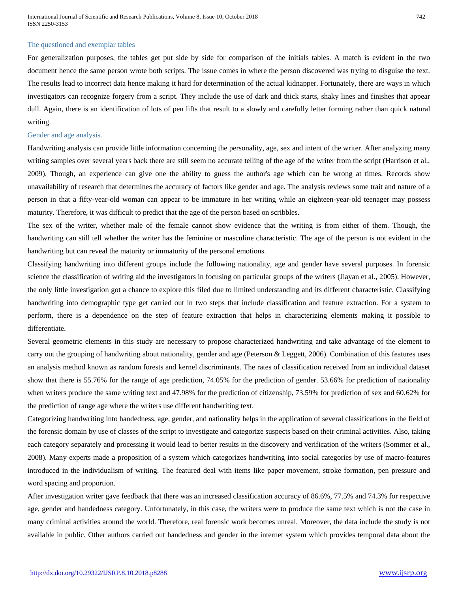#### The questioned and exemplar tables

For generalization purposes, the tables get put side by side for comparison of the initials tables. A match is evident in the two document hence the same person wrote both scripts. The issue comes in where the person discovered was trying to disguise the text. The results lead to incorrect data hence making it hard for determination of the actual kidnapper. Fortunately, there are ways in which investigators can recognize forgery from a script. They include the use of dark and thick starts, shaky lines and finishes that appear dull. Again, there is an identification of lots of pen lifts that result to a slowly and carefully letter forming rather than quick natural writing.

#### Gender and age analysis.

Handwriting analysis can provide little information concerning the personality, age, sex and intent of the writer. After analyzing many writing samples over several years back there are still seem no accurate telling of the age of the writer from the script (Harrison et al., 2009). Though, an experience can give one the ability to guess the author's age which can be wrong at times. Records show unavailability of research that determines the accuracy of factors like gender and age. The analysis reviews some trait and nature of a person in that a fifty-year-old woman can appear to be immature in her writing while an eighteen-year-old teenager may possess maturity. Therefore, it was difficult to predict that the age of the person based on scribbles.

The sex of the writer, whether male of the female cannot show evidence that the writing is from either of them. Though, the handwriting can still tell whether the writer has the feminine or masculine characteristic. The age of the person is not evident in the handwriting but can reveal the maturity or immaturity of the personal emotions.

Classifying handwriting into different groups include the following nationality, age and gender have several purposes. In forensic science the classification of writing aid the investigators in focusing on particular groups of the writers (Jiayan et al., 2005). However, the only little investigation got a chance to explore this filed due to limited understanding and its different characteristic. Classifying handwriting into demographic type get carried out in two steps that include classification and feature extraction. For a system to perform, there is a dependence on the step of feature extraction that helps in characterizing elements making it possible to differentiate.

Several geometric elements in this study are necessary to propose characterized handwriting and take advantage of the element to carry out the grouping of handwriting about nationality, gender and age (Peterson & Leggett, 2006). Combination of this features uses an analysis method known as random forests and kernel discriminants. The rates of classification received from an individual dataset show that there is 55.76% for the range of age prediction, 74.05% for the prediction of gender. 53.66% for prediction of nationality when writers produce the same writing text and 47.98% for the prediction of citizenship, 73.59% for prediction of sex and 60.62% for the prediction of range age where the writers use different handwriting text.

Categorizing handwriting into handedness, age, gender, and nationality helps in the application of several classifications in the field of the forensic domain by use of classes of the script to investigate and categorize suspects based on their criminal activities. Also, taking each category separately and processing it would lead to better results in the discovery and verification of the writers (Sommer et al., 2008). Many experts made a proposition of a system which categorizes handwriting into social categories by use of macro-features introduced in the individualism of writing. The featured deal with items like paper movement, stroke formation, pen pressure and word spacing and proportion.

After investigation writer gave feedback that there was an increased classification accuracy of 86.6%, 77.5% and 74.3% for respective age, gender and handedness category. Unfortunately, in this case, the writers were to produce the same text which is not the case in many criminal activities around the world. Therefore, real forensic work becomes unreal. Moreover, the data include the study is not available in public. Other authors carried out handedness and gender in the internet system which provides temporal data about the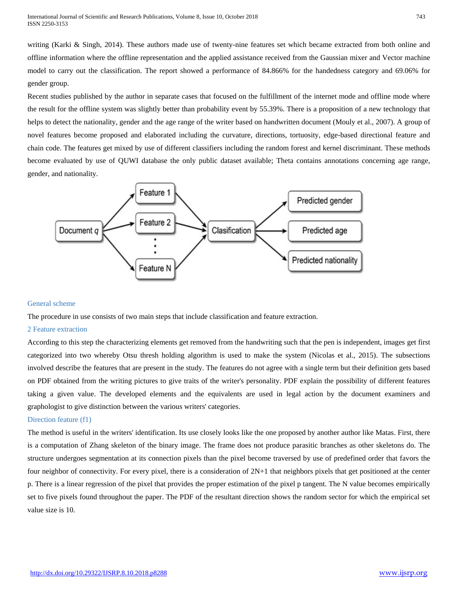writing (Karki & Singh, 2014). These authors made use of twenty-nine features set which became extracted from both online and offline information where the offline representation and the applied assistance received from the Gaussian mixer and Vector machine model to carry out the classification. The report showed a performance of 84.866% for the handedness category and 69.06% for gender group.

Recent studies published by the author in separate cases that focused on the fulfillment of the internet mode and offline mode where the result for the offline system was slightly better than probability event by 55.39%. There is a proposition of a new technology that helps to detect the nationality, gender and the age range of the writer based on handwritten document (Mouly et al., 2007). A group of novel features become proposed and elaborated including the curvature, directions, tortuosity, edge-based directional feature and chain code. The features get mixed by use of different classifiers including the random forest and kernel discriminant. These methods become evaluated by use of QUWI database the only public dataset available; Theta contains annotations concerning age range, gender, and nationality.



# General scheme

The procedure in use consists of two main steps that include classification and feature extraction.

# 2 Feature extraction

According to this step the characterizing elements get removed from the handwriting such that the pen is independent, images get first categorized into two whereby Otsu thresh holding algorithm is used to make the system (Nicolas et al., 2015). The subsections involved describe the features that are present in the study. The features do not agree with a single term but their definition gets based on PDF obtained from the writing pictures to give traits of the writer's personality. PDF explain the possibility of different features taking a given value. The developed elements and the equivalents are used in legal action by the document examiners and graphologist to give distinction between the various writers' categories.

# Direction feature (f1)

The method is useful in the writers' identification. Its use closely looks like the one proposed by another author like Matas. First, there is a computation of Zhang skeleton of the binary image. The frame does not produce parasitic branches as other skeletons do. The structure undergoes segmentation at its connection pixels than the pixel become traversed by use of predefined order that favors the four neighbor of connectivity. For every pixel, there is a consideration of 2N+1 that neighbors pixels that get positioned at the center p. There is a linear regression of the pixel that provides the proper estimation of the pixel p tangent. The N value becomes empirically set to five pixels found throughout the paper. The PDF of the resultant direction shows the random sector for which the empirical set value size is 10.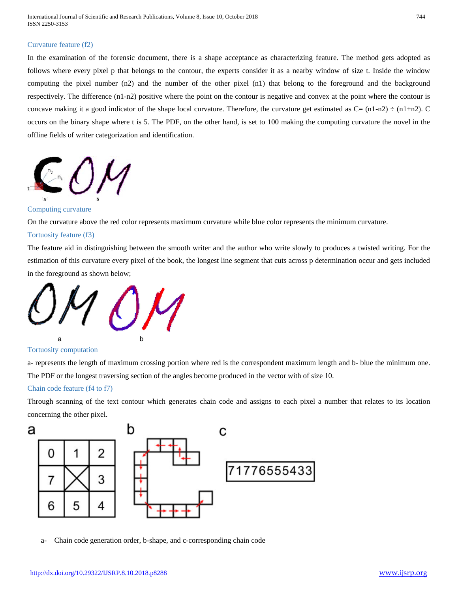# Curvature feature (f2)

In the examination of the forensic document, there is a shape acceptance as characterizing feature. The method gets adopted as follows where every pixel p that belongs to the contour, the experts consider it as a nearby window of size t. Inside the window computing the pixel number (n2) and the number of the other pixel (n1) that belong to the foreground and the background respectively. The difference (n1-n2) positive where the point on the contour is negative and convex at the point where the contour is concave making it a good indicator of the shape local curvature. Therefore, the curvature get estimated as  $C = (n1-n2) \div (n1+n2)$ . C occurs on the binary shape where t is 5. The PDF, on the other hand, is set to 100 making the computing curvature the novel in the offline fields of writer categorization and identification.



# Computing curvature

On the curvature above the red color represents maximum curvature while blue color represents the minimum curvature.

#### Tortuosity feature (f3)

The feature aid in distinguishing between the smooth writer and the author who write slowly to produces a twisted writing. For the estimation of this curvature every pixel of the book, the longest line segment that cuts across p determination occur and gets included in the foreground as shown below;



Tortuosity computation

a- represents the length of maximum crossing portion where red is the correspondent maximum length and b- blue the minimum one. The PDF or the longest traversing section of the angles become produced in the vector with of size 10.

#### Chain code feature (f4 to f7)

Through scanning of the text contour which generates chain code and assigns to each pixel a number that relates to its location concerning the other pixel.



a- Chain code generation order, b-shape, and c-corresponding chain code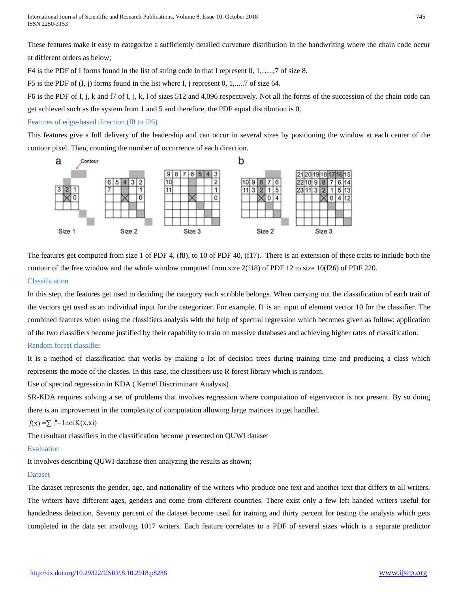These features make it easy to categorize a sufficiently detailed curvature distribution in the handwriting where the chain code occur at different orders as below;

F4 is the PDF of I forms found in the list of string code in that I represent 0, 1,…..,7 of size 8.

F5 is the PDF of  $(I, j)$  forms found in the list where I, j represent 0, 1,...... 7 of size 64.

F6 is the PDF of I, j, k and f7 of I, j, k, l of sizes 512 and 4,096 respectively. Not all the forms of the succession of the chain code can get achieved such as the system from 1 and 5 and therefore, the PDF equal distribution is 0.

# Features of edge-based direction (f8 to f26)

This features give a full delivery of the leadership and can occur in several sizes by positioning the window at each center of the contour pixel. Then, counting the number of occurrence of each direction.



The features get computed from size 1 of PDF 4, (f8), to 10 of PDF 40, (f17). There is an extension of these traits to include both the contour of the free window and the whole window computed from size 2(f18) of PDF 12 to size 10(f26) of PDF 220. Classification

In this step, the features get used to deciding the category each scribble belongs. When carrying out the classification of each trait of the vectors get used as an individual input for the categorizer. For example, f1 is an input of element vector 10 for the classifier. The combined features when using the classifiers analysis with the help of spectral regression which becomes given as follow; application of the two classifiers become justified by their capability to train on massive databases and achieving higher rates of classification.

# Random forest classifier

It is a method of classification that works by making a lot of decision trees during training time and producing a class which represents the mode of the classes. In this case, the classifiers use R forest library which is random.

Use of spectral regression in KDA ( Kernel Discriminant Analysis)

SR-KDA requires solving a set of problems that involves regression where computation of eigenvector is not present. By so doing there is an improvement in the complexity of computation allowing large matrices to get handled.

# $f(x) = \sum_{i}^{n}$ =1nσiK(x,xi)

The resultant classifiers in the classification become presented on QUWI dataset

# Evaluation

It involves describing QUWI database then analyzing the results as shown;

# Dataset

The dataset represents the gender, age, and nationality of the writers who produce one text and another text that differs to all writers. The writers have different ages, genders and come from different countries. There exist only a few left handed writers useful for handedness detection. Seventy percent of the dataset become used for training and thirty percent for testing the analysis which gets completed in the data set involving 1017 writers. Each feature correlates to a PDF of several sizes which is a separate predictor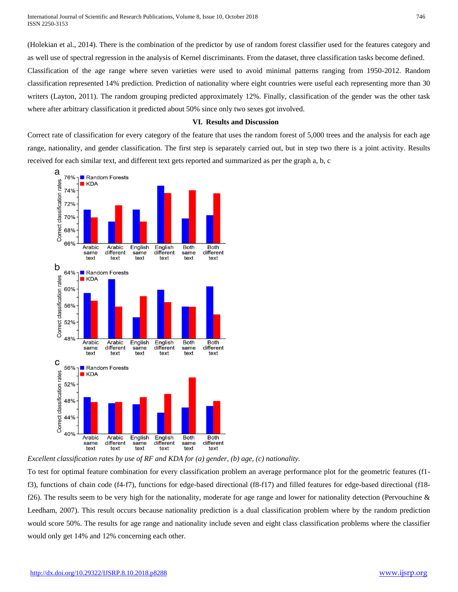(Holekian et al., 2014). There is the combination of the predictor by use of random forest classifier used for the features category and as well use of spectral regression in the analysis of Kernel discriminants. From the dataset, three classification tasks become defined. Classification of the age range where seven varieties were used to avoid minimal patterns ranging from 1950-2012. Random classification represented 14% prediction. Prediction of nationality where eight countries were useful each representing more than 30 writers (Layton, 2011). The random grouping predicted approximately 12%. Finally, classification of the gender was the other task where after arbitrary classification it predicted about 50% since only two sexes got involved.

# **VI. Results and Discussion**

Correct rate of classification for every category of the feature that uses the random forest of 5,000 trees and the analysis for each age range, nationality, and gender classification. The first step is separately carried out, but in step two there is a joint activity. Results received for each similar text, and different text gets reported and summarized as per the graph a, b, c



*Excellent classification rates by use of RF and KDA for (a) gender, (b) age, (c) nationality.*

To test for optimal feature combination for every classification problem an average performance plot for the geometric features (f1 f3), functions of chain code (f4-f7), functions for edge-based directional (f8-f17) and filled features for edge-based directional (f18 f26). The results seem to be very high for the nationality, moderate for age range and lower for nationality detection (Pervouchine  $\&$ Leedham, 2007). This result occurs because nationality prediction is a dual classification problem where by the random prediction would score 50%. The results for age range and nationality include seven and eight class classification problems where the classifier would only get 14% and 12% concerning each other.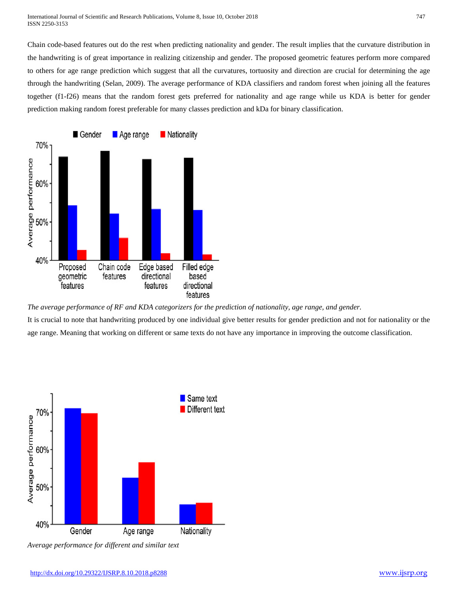Chain code-based features out do the rest when predicting nationality and gender. The result implies that the curvature distribution in the handwriting is of great importance in realizing citizenship and gender. The proposed geometric features perform more compared to others for age range prediction which suggest that all the curvatures, tortuosity and direction are crucial for determining the age through the handwriting (Selan, 2009). The average performance of KDA classifiers and random forest when joining all the features together (f1-f26) means that the random forest gets preferred for nationality and age range while us KDA is better for gender prediction making random forest preferable for many classes prediction and kDa for binary classification.



*The average performance of RF and KDA categorizers for the prediction of nationality, age range, and gender.* It is crucial to note that handwriting produced by one individual give better results for gender prediction and not for nationality or the age range. Meaning that working on different or same texts do not have any importance in improving the outcome classification.



*Average performance for different and similar text*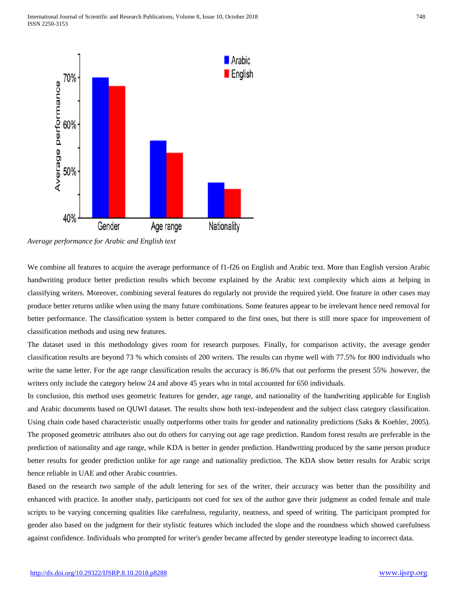

*Average performance for Arabic and English text*

We combine all features to acquire the average performance of f1-f26 on English and Arabic text. More than English version Arabic handwriting produce better prediction results which become explained by the Arabic text complexity which aims at helping in classifying writers. Moreover, combining several features do regularly not provide the required yield. One feature in other cases may produce better returns unlike when using the many future combinations. Some features appear to be irrelevant hence need removal for better performance. The classification system is better compared to the first ones, but there is still more space for improvement of classification methods and using new features.

The dataset used in this methodology gives room for research purposes. Finally, for comparison activity, the average gender classification results are beyond 73 % which consists of 200 writers. The results can rhyme well with 77.5% for 800 individuals who write the same letter. For the age range classification results the accuracy is 86.6% that out performs the present 55% .however, the writers only include the category below 24 and above 45 years who in total accounted for 650 individuals.

In conclusion, this method uses geometric features for gender, age range, and nationality of the handwriting applicable for English and Arabic documents based on QUWI dataset. The results show both text-independent and the subject class category classification. Using chain code based characteristic usually outperforms other traits for gender and nationality predictions (Saks & Koehler, 2005). The proposed geometric attributes also out do others for carrying out age rage prediction. Random forest results are preferable in the prediction of nationality and age range, while KDA is better in gender prediction. Handwriting produced by the same person produce better results for gender prediction unlike for age range and nationality prediction. The KDA show better results for Arabic script hence reliable in UAE and other Arabic countries.

Based on the research two sample of the adult lettering for sex of the writer, their accuracy was better than the possibility and enhanced with practice. In another study, participants not cued for sex of the author gave their judgment as coded female and male scripts to be varying concerning qualities like carefulness, regularity, neatness, and speed of writing. The participant prompted for gender also based on the judgment for their stylistic features which included the slope and the roundness which showed carefulness against confidence. Individuals who prompted for writer's gender became affected by gender stereotype leading to incorrect data.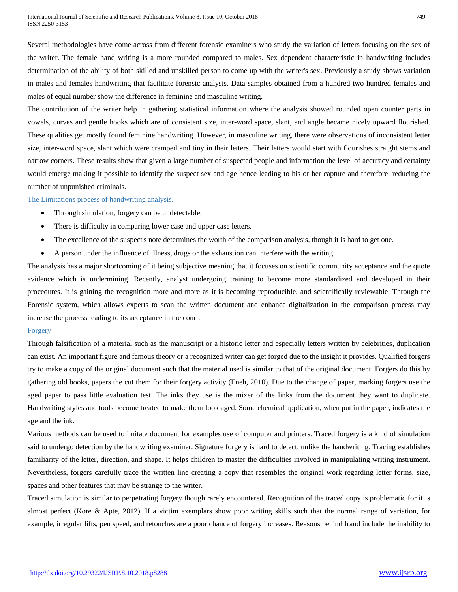Several methodologies have come across from different forensic examiners who study the variation of letters focusing on the sex of the writer. The female hand writing is a more rounded compared to males. Sex dependent characteristic in handwriting includes determination of the ability of both skilled and unskilled person to come up with the writer's sex. Previously a study shows variation in males and females handwriting that facilitate forensic analysis. Data samples obtained from a hundred two hundred females and males of equal number show the difference in feminine and masculine writing.

The contribution of the writer help in gathering statistical information where the analysis showed rounded open counter parts in vowels, curves and gentle hooks which are of consistent size, inter-word space, slant, and angle became nicely upward flourished. These qualities get mostly found feminine handwriting. However, in masculine writing, there were observations of inconsistent letter size, inter-word space, slant which were cramped and tiny in their letters. Their letters would start with flourishes straight stems and narrow corners. These results show that given a large number of suspected people and information the level of accuracy and certainty would emerge making it possible to identify the suspect sex and age hence leading to his or her capture and therefore, reducing the number of unpunished criminals.

# The Limitations process of handwriting analysis.

- Through simulation, forgery can be undetectable.
- There is difficulty in comparing lower case and upper case letters.
- The excellence of the suspect's note determines the worth of the comparison analysis, though it is hard to get one.
- A person under the influence of illness, drugs or the exhaustion can interfere with the writing.

The analysis has a major shortcoming of it being subjective meaning that it focuses on scientific community acceptance and the quote evidence which is undermining. Recently, analyst undergoing training to become more standardized and developed in their procedures. It is gaining the recognition more and more as it is becoming reproducible, and scientifically reviewable. Through the Forensic system, which allows experts to scan the written document and enhance digitalization in the comparison process may increase the process leading to its acceptance in the court.

# Forgery

Through falsification of a material such as the manuscript or a historic letter and especially letters written by celebrities, duplication can exist. An important figure and famous theory or a recognized writer can get forged due to the insight it provides. Qualified forgers try to make a copy of the original document such that the material used is similar to that of the original document. Forgers do this by gathering old books, papers the cut them for their forgery activity (Eneh, 2010). Due to the change of paper, marking forgers use the aged paper to pass little evaluation test. The inks they use is the mixer of the links from the document they want to duplicate. Handwriting styles and tools become treated to make them look aged. Some chemical application, when put in the paper, indicates the age and the ink.

Various methods can be used to imitate document for examples use of computer and printers. Traced forgery is a kind of simulation said to undergo detection by the handwriting examiner. Signature forgery is hard to detect, unlike the handwriting. Tracing establishes familiarity of the letter, direction, and shape. It helps children to master the difficulties involved in manipulating writing instrument. Nevertheless, forgers carefully trace the written line creating a copy that resembles the original work regarding letter forms, size, spaces and other features that may be strange to the writer.

Traced simulation is similar to perpetrating forgery though rarely encountered. Recognition of the traced copy is problematic for it is almost perfect (Kore & Apte, 2012). If a victim exemplars show poor writing skills such that the normal range of variation, for example, irregular lifts, pen speed, and retouches are a poor chance of forgery increases. Reasons behind fraud include the inability to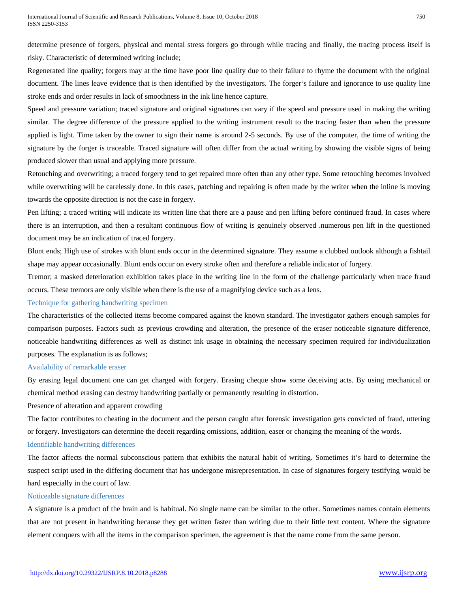determine presence of forgers, physical and mental stress forgers go through while tracing and finally, the tracing process itself is risky. Characteristic of determined writing include;

Regenerated line quality; forgers may at the time have poor line quality due to their failure to rhyme the document with the original document. The lines leave evidence that is then identified by the investigators. The forger's failure and ignorance to use quality line stroke ends and order results in lack of smoothness in the ink line hence capture.

Speed and pressure variation; traced signature and original signatures can vary if the speed and pressure used in making the writing similar. The degree difference of the pressure applied to the writing instrument result to the tracing faster than when the pressure applied is light. Time taken by the owner to sign their name is around 2-5 seconds. By use of the computer, the time of writing the signature by the forger is traceable. Traced signature will often differ from the actual writing by showing the visible signs of being produced slower than usual and applying more pressure.

Retouching and overwriting; a traced forgery tend to get repaired more often than any other type. Some retouching becomes involved while overwriting will be carelessly done. In this cases, patching and repairing is often made by the writer when the inline is moving towards the opposite direction is not the case in forgery.

Pen lifting; a traced writing will indicate its written line that there are a pause and pen lifting before continued fraud. In cases where there is an interruption, and then a resultant continuous flow of writing is genuinely observed .numerous pen lift in the questioned document may be an indication of traced forgery.

Blunt ends; High use of strokes with blunt ends occur in the determined signature. They assume a clubbed outlook although a fishtail shape may appear occasionally. Blunt ends occur on every stroke often and therefore a reliable indicator of forgery.

Tremor; a masked deterioration exhibition takes place in the writing line in the form of the challenge particularly when trace fraud occurs. These tremors are only visible when there is the use of a magnifying device such as a lens.

# Technique for gathering handwriting specimen

The characteristics of the collected items become compared against the known standard. The investigator gathers enough samples for comparison purposes. Factors such as previous crowding and alteration, the presence of the eraser noticeable signature difference, noticeable handwriting differences as well as distinct ink usage in obtaining the necessary specimen required for individualization purposes. The explanation is as follows;

#### Availability of remarkable eraser

By erasing legal document one can get charged with forgery. Erasing cheque show some deceiving acts. By using mechanical or chemical method erasing can destroy handwriting partially or permanently resulting in distortion.

# Presence of alteration and apparent crowding

The factor contributes to cheating in the document and the person caught after forensic investigation gets convicted of fraud, uttering or forgery. Investigators can determine the deceit regarding omissions, addition, easer or changing the meaning of the words.

# Identifiable handwriting differences

The factor affects the normal subconscious pattern that exhibits the natural habit of writing. Sometimes it's hard to determine the suspect script used in the differing document that has undergone misrepresentation. In case of signatures forgery testifying would be hard especially in the court of law.

# Noticeable signature differences

A signature is a product of the brain and is habitual. No single name can be similar to the other. Sometimes names contain elements that are not present in handwriting because they get written faster than writing due to their little text content. Where the signature element conquers with all the items in the comparison specimen, the agreement is that the name come from the same person.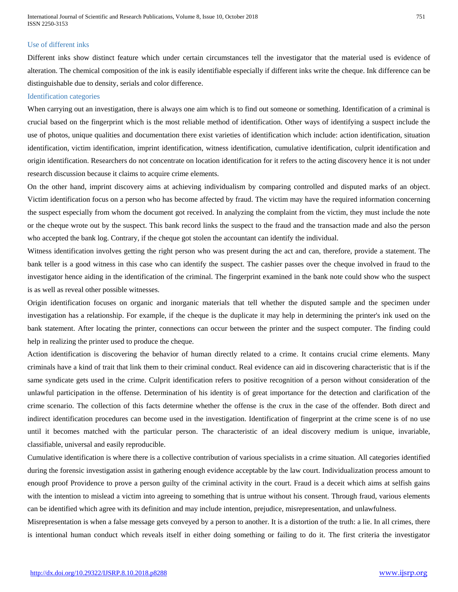International Journal of Scientific and Research Publications, Volume 8, Issue 10, October 2018 751 ISSN 2250-3153

# Use of different inks

Different inks show distinct feature which under certain circumstances tell the investigator that the material used is evidence of alteration. The chemical composition of the ink is easily identifiable especially if different inks write the cheque. Ink difference can be distinguishable due to density, serials and color difference.

#### Identification categories

When carrying out an investigation, there is always one aim which is to find out someone or something. Identification of a criminal is crucial based on the fingerprint which is the most reliable method of identification. Other ways of identifying a suspect include the use of photos, unique qualities and documentation there exist varieties of identification which include: action identification, situation identification, victim identification, imprint identification, witness identification, cumulative identification, culprit identification and origin identification. Researchers do not concentrate on location identification for it refers to the acting discovery hence it is not under research discussion because it claims to acquire crime elements.

On the other hand, imprint discovery aims at achieving individualism by comparing controlled and disputed marks of an object. Victim identification focus on a person who has become affected by fraud. The victim may have the required information concerning the suspect especially from whom the document got received. In analyzing the complaint from the victim, they must include the note or the cheque wrote out by the suspect. This bank record links the suspect to the fraud and the transaction made and also the person who accepted the bank log. Contrary, if the cheque got stolen the accountant can identify the individual.

Witness identification involves getting the right person who was present during the act and can, therefore, provide a statement. The bank teller is a good witness in this case who can identify the suspect. The cashier passes over the cheque involved in fraud to the investigator hence aiding in the identification of the criminal. The fingerprint examined in the bank note could show who the suspect is as well as reveal other possible witnesses.

Origin identification focuses on organic and inorganic materials that tell whether the disputed sample and the specimen under investigation has a relationship. For example, if the cheque is the duplicate it may help in determining the printer's ink used on the bank statement. After locating the printer, connections can occur between the printer and the suspect computer. The finding could help in realizing the printer used to produce the cheque.

Action identification is discovering the behavior of human directly related to a crime. It contains crucial crime elements. Many criminals have a kind of trait that link them to their criminal conduct. Real evidence can aid in discovering characteristic that is if the same syndicate gets used in the crime. Culprit identification refers to positive recognition of a person without consideration of the unlawful participation in the offense. Determination of his identity is of great importance for the detection and clarification of the crime scenario. The collection of this facts determine whether the offense is the crux in the case of the offender. Both direct and indirect identification procedures can become used in the investigation. Identification of fingerprint at the crime scene is of no use until it becomes matched with the particular person. The characteristic of an ideal discovery medium is unique, invariable, classifiable, universal and easily reproducible.

Cumulative identification is where there is a collective contribution of various specialists in a crime situation. All categories identified during the forensic investigation assist in gathering enough evidence acceptable by the law court. Individualization process amount to enough proof Providence to prove a person guilty of the criminal activity in the court. Fraud is a deceit which aims at selfish gains with the intention to mislead a victim into agreeing to something that is untrue without his consent. Through fraud, various elements can be identified which agree with its definition and may include intention, prejudice, misrepresentation, and unlawfulness.

Misrepresentation is when a false message gets conveyed by a person to another. It is a distortion of the truth: a lie. In all crimes, there is intentional human conduct which reveals itself in either doing something or failing to do it. The first criteria the investigator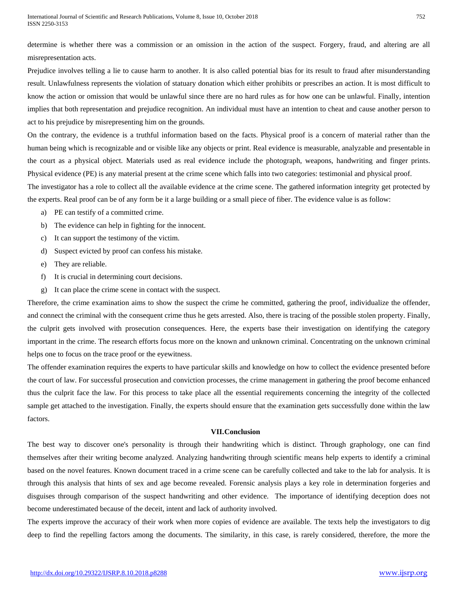determine is whether there was a commission or an omission in the action of the suspect. Forgery, fraud, and altering are all misrepresentation acts.

Prejudice involves telling a lie to cause harm to another. It is also called potential bias for its result to fraud after misunderstanding result. Unlawfulness represents the violation of statuary donation which either prohibits or prescribes an action. It is most difficult to know the action or omission that would be unlawful since there are no hard rules as for how one can be unlawful. Finally, intention implies that both representation and prejudice recognition. An individual must have an intention to cheat and cause another person to act to his prejudice by misrepresenting him on the grounds.

On the contrary, the evidence is a truthful information based on the facts. Physical proof is a concern of material rather than the human being which is recognizable and or visible like any objects or print. Real evidence is measurable, analyzable and presentable in the court as a physical object. Materials used as real evidence include the photograph, weapons, handwriting and finger prints. Physical evidence (PE) is any material present at the crime scene which falls into two categories: testimonial and physical proof.

The investigator has a role to collect all the available evidence at the crime scene. The gathered information integrity get protected by the experts. Real proof can be of any form be it a large building or a small piece of fiber. The evidence value is as follow:

- a) PE can testify of a committed crime.
- b) The evidence can help in fighting for the innocent.
- c) It can support the testimony of the victim.
- d) Suspect evicted by proof can confess his mistake.
- e) They are reliable.
- f) It is crucial in determining court decisions.
- g) It can place the crime scene in contact with the suspect.

Therefore, the crime examination aims to show the suspect the crime he committed, gathering the proof, individualize the offender, and connect the criminal with the consequent crime thus he gets arrested. Also, there is tracing of the possible stolen property. Finally, the culprit gets involved with prosecution consequences. Here, the experts base their investigation on identifying the category important in the crime. The research efforts focus more on the known and unknown criminal. Concentrating on the unknown criminal helps one to focus on the trace proof or the eyewitness.

The offender examination requires the experts to have particular skills and knowledge on how to collect the evidence presented before the court of law. For successful prosecution and conviction processes, the crime management in gathering the proof become enhanced thus the culprit face the law. For this process to take place all the essential requirements concerning the integrity of the collected sample get attached to the investigation. Finally, the experts should ensure that the examination gets successfully done within the law factors.

# **VII.Conclusion**

The best way to discover one's personality is through their handwriting which is distinct. Through graphology, one can find themselves after their writing become analyzed. Analyzing handwriting through scientific means help experts to identify a criminal based on the novel features. Known document traced in a crime scene can be carefully collected and take to the lab for analysis. It is through this analysis that hints of sex and age become revealed. Forensic analysis plays a key role in determination forgeries and disguises through comparison of the suspect handwriting and other evidence. The importance of identifying deception does not become underestimated because of the deceit, intent and lack of authority involved.

The experts improve the accuracy of their work when more copies of evidence are available. The texts help the investigators to dig deep to find the repelling factors among the documents. The similarity, in this case, is rarely considered, therefore, the more the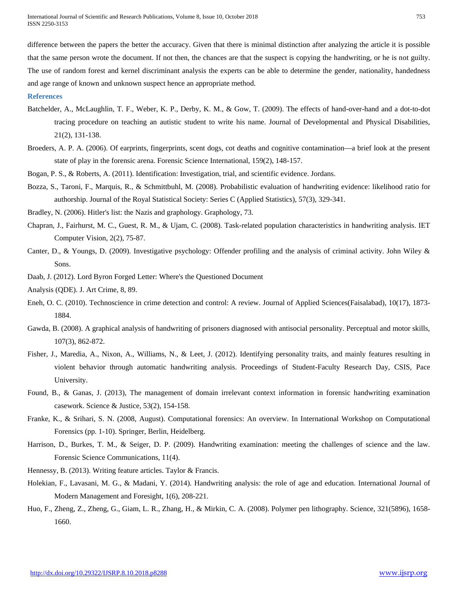International Journal of Scientific and Research Publications, Volume 8, Issue 10, October 2018 753 ISSN 2250-3153

difference between the papers the better the accuracy. Given that there is minimal distinction after analyzing the article it is possible that the same person wrote the document. If not then, the chances are that the suspect is copying the handwriting, or he is not guilty. The use of random forest and kernel discriminant analysis the experts can be able to determine the gender, nationality, handedness and age range of known and unknown suspect hence an appropriate method.

#### **References**

- Batchelder, A., McLaughlin, T. F., Weber, K. P., Derby, K. M., & Gow, T. (2009). The effects of hand-over-hand and a dot-to-dot tracing procedure on teaching an autistic student to write his name. Journal of Developmental and Physical Disabilities, 21(2), 131-138.
- Broeders, A. P. A. (2006). Of earprints, fingerprints, scent dogs, cot deaths and cognitive contamination—a brief look at the present state of play in the forensic arena. Forensic Science International, 159(2), 148-157.
- Bogan, P. S., & Roberts, A. (2011). Identification: Investigation, trial, and scientific evidence. Jordans.
- Bozza, S., Taroni, F., Marquis, R., & Schmittbuhl, M. (2008). Probabilistic evaluation of handwriting evidence: likelihood ratio for authorship. Journal of the Royal Statistical Society: Series C (Applied Statistics), 57(3), 329-341.
- Bradley, N. (2006). Hitler's list: the Nazis and graphology. Graphology, 73.
- Chapran, J., Fairhurst, M. C., Guest, R. M., & Ujam, C. (2008). Task-related population characteristics in handwriting analysis. IET Computer Vision, 2(2), 75-87.
- Canter, D., & Youngs, D. (2009). Investigative psychology: Offender profiling and the analysis of criminal activity. John Wiley & Sons.
- Daab, J. (2012). Lord Byron Forged Letter: Where's the Questioned Document
- Analysis (QDE). J. Art Crime, 8, 89.
- Eneh, O. C. (2010). Technoscience in crime detection and control: A review. Journal of Applied Sciences(Faisalabad), 10(17), 1873- 1884.
- Gawda, B. (2008). A graphical analysis of handwriting of prisoners diagnosed with antisocial personality. Perceptual and motor skills, 107(3), 862-872.
- Fisher, J., Maredia, A., Nixon, A., Williams, N., & Leet, J. (2012). Identifying personality traits, and mainly features resulting in violent behavior through automatic handwriting analysis. Proceedings of Student-Faculty Research Day, CSIS, Pace University.
- Found, B., & Ganas, J. (2013), The management of domain irrelevant context information in forensic handwriting examination casework. Science & Justice, 53(2), 154-158.
- Franke, K., & Srihari, S. N. (2008, August). Computational forensics: An overview. In International Workshop on Computational Forensics (pp. 1-10). Springer, Berlin, Heidelberg.
- Harrison, D., Burkes, T. M., & Seiger, D. P. (2009). Handwriting examination: meeting the challenges of science and the law. Forensic Science Communications, 11(4).
- Hennessy, B. (2013). Writing feature articles. Taylor & Francis.
- Holekian, F., Lavasani, M. G., & Madani, Y. (2014). Handwriting analysis: the role of age and education. International Journal of Modern Management and Foresight, 1(6), 208-221.
- Huo, F., Zheng, Z., Zheng, G., Giam, L. R., Zhang, H., & Mirkin, C. A. (2008). Polymer pen lithography. Science, 321(5896), 1658- 1660.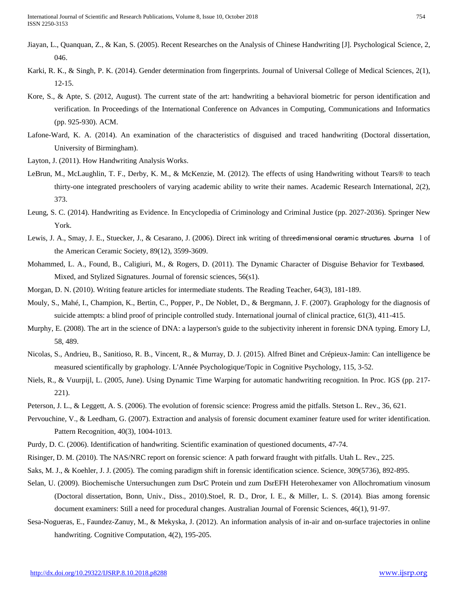- Jiayan, L., Quanquan, Z., & Kan, S. (2005). Recent Researches on the Analysis of Chinese Handwriting [J]. Psychological Science, 2, 046.
- Karki, R. K., & Singh, P. K. (2014). Gender determination from fingerprints. Journal of Universal College of Medical Sciences, 2(1), 12-15.
- Kore, S., & Apte, S. (2012, August). The current state of the art: handwriting a behavioral biometric for person identification and verification. In Proceedings of the International Conference on Advances in Computing, Communications and Informatics (pp. 925-930). ACM.
- Lafone-Ward, K. A. (2014). An examination of the characteristics of disguised and traced handwriting (Doctoral dissertation, University of Birmingham).
- Layton, J. (2011). How Handwriting Analysis Works.
- LeBrun, M., McLaughlin, T. F., Derby, K. M., & McKenzie, M. (2012). The effects of using Handwriting without Tears® to teach thirty-one integrated preschoolers of varying academic ability to write their names. Academic Research International, 2(2), 373.
- Leung, S. C. (2014). Handwriting as Evidence. In Encyclopedia of Criminology and Criminal Justice (pp. 2027-2036). Springer New York.
- Lewis, J. A., Smay, J. E., Stuecker, J., & Cesarano, J. (2006). Direct ink writing of threedimensional ceramic structures. Journa 1 of the American Ceramic Society, 89(12), 3599-3609.
- Mohammed, L. A., Found, B., Caligiuri, M., & Rogers, D. (2011). The Dynamic Character of Disguise Behavior for Textbased, Mixed, and Stylized Signatures. Journal of forensic sciences, 56(s1).
- Morgan, D. N. (2010). Writing feature articles for intermediate students. The Reading Teacher, 64(3), 181-189.
- Mouly, S., Mahé, I., Champion, K., Bertin, C., Popper, P., De Noblet, D., & Bergmann, J. F. (2007). Graphology for the diagnosis of suicide attempts: a blind proof of principle controlled study. International journal of clinical practice, 61(3), 411-415.
- Murphy, E. (2008). The art in the science of DNA: a layperson's guide to the subjectivity inherent in forensic DNA typing. Emory LJ, 58, 489.
- Nicolas, S., Andrieu, B., Sanitioso, R. B., Vincent, R., & Murray, D. J. (2015). Alfred Binet and Crépieux-Jamin: Can intelligence be measured scientifically by graphology. L'Année Psychologique/Topic in Cognitive Psychology, 115, 3-52.
- Niels, R., & Vuurpijl, L. (2005, June). Using Dynamic Time Warping for automatic handwriting recognition. In Proc. IGS (pp. 217- 221).
- Peterson, J. L., & Leggett, A. S. (2006). The evolution of forensic science: Progress amid the pitfalls. Stetson L. Rev., 36, 621.
- Pervouchine, V., & Leedham, G. (2007). Extraction and analysis of forensic document examiner feature used for writer identification. Pattern Recognition, 40(3), 1004-1013.
- Purdy, D. C. (2006). Identification of handwriting. Scientific examination of questioned documents, 47-74.
- Risinger, D. M. (2010). The NAS/NRC report on forensic science: A path forward fraught with pitfalls. Utah L. Rev., 225.
- Saks, M. J., & Koehler, J. J. (2005). The coming paradigm shift in forensic identification science. Science, 309(5736), 892-895.
- Selan, U. (2009). Biochemische Untersuchungen zum DsrC Protein und zum DsrEFH Heterohexamer von Allochromatium vinosum (Doctoral dissertation, Bonn, Univ., Diss., 2010).Stoel, R. D., Dror, I. E., & Miller, L. S. (2014). Bias among forensic document examiners: Still a need for procedural changes. Australian Journal of Forensic Sciences, 46(1), 91-97.
- Sesa-Nogueras, E., Faundez-Zanuy, M., & Mekyska, J. (2012). An information analysis of in-air and on-surface trajectories in online handwriting. Cognitive Computation, 4(2), 195-205.